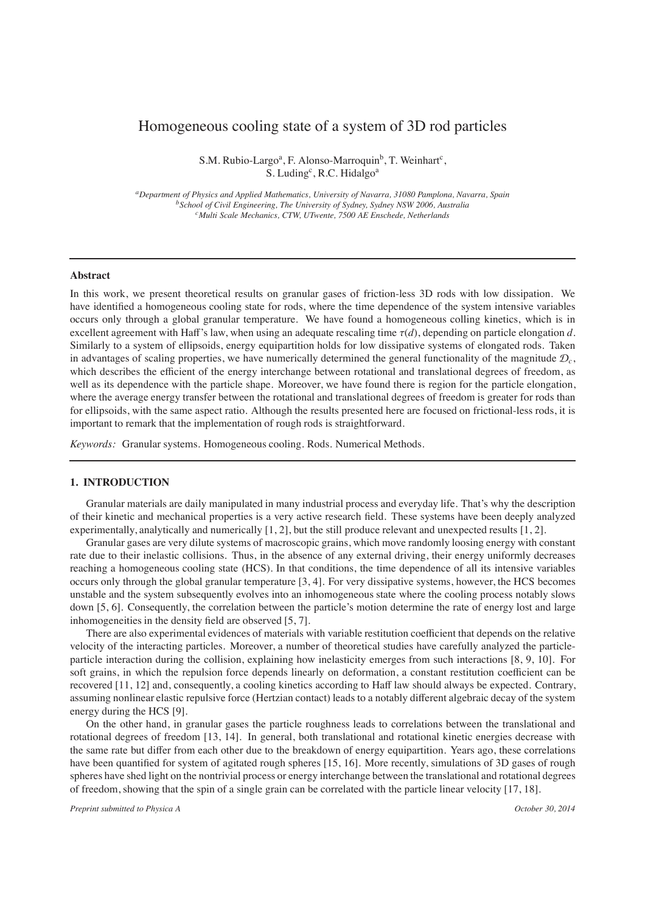# Homogeneous cooling state of a system of 3D rod particles

S.M. Rubio-Largo<sup>a</sup>, F. Alonso-Marroquin<sup>b</sup>, T. Weinhart<sup>c</sup>, S. Luding<sup>c</sup>, R.C. Hidalgo<sup>a</sup>

*aDepartment of Physics and Applied Mathematics, University of Navarra, 31080 Pamplona, Navarra, Spain bSchool of Civil Engineering, The University of Sydney, Sydney NSW 2006, Australia cMulti Scale Mechanics, CTW, UTwente, 7500 AE Enschede, Netherlands*

## **Abstract**

In this work, we present theoretical results on granular gases of friction-less 3D rods with low dissipation. We have identified a homogeneous cooling state for rods, where the time dependence of the system intensive variables occurs only through a global granular temperature. We have found a homogeneous colling kinetics, which is in excellent agreement with Haff's law, when using an adequate rescaling time τ(*d*), depending on particle elongation *d*. Similarly to a system of ellipsoids, energy equipartition holds for low dissipative systems of elongated rods. Taken in advantages of scaling properties, we have numerically determined the general functionality of the magnitude  $\mathcal{D}_c$ , which describes the efficient of the energy interchange between rotational and translational degrees of freedom, as well as its dependence with the particle shape. Moreover, we have found there is region for the particle elongation, where the average energy transfer between the rotational and translational degrees of freedom is greater for rods than for ellipsoids, with the same aspect ratio. Although the results presented here are focused on frictional-less rods, it is important to remark that the implementation of rough rods is straightforward.

*Keywords:* Granular systems. Homogeneous cooling. Rods. Numerical Methods.

# **1. INTRODUCTION**

Granular materials are daily manipulated in many industrial process and everyday life. That's why the description of their kinetic and mechanical properties is a very active research field. These systems have been deeply analyzed experimentally, analytically and numerically [1, 2], but the still produce relevant and unexpected results [1, 2].

Granular gases are very dilute systems of macroscopic grains, which move randomly loosing energy with constant rate due to their inelastic collisions. Thus, in the absence of any external driving, their energy uniformly decreases reaching a homogeneous cooling state (HCS). In that conditions, the time dependence of all its intensive variables occurs only through the global granular temperature [3, 4]. For very dissipative systems, however, the HCS becomes unstable and the system subsequently evolves into an inhomogeneous state where the cooling process notably slows down [5, 6]. Consequently, the correlation between the particle's motion determine the rate of energy lost and large inhomogeneities in the density field are observed [5, 7].

There are also experimental evidences of materials with variable restitution coefficient that depends on the relative velocity of the interacting particles. Moreover, a number of theoretical studies have carefully analyzed the particleparticle interaction during the collision, explaining how inelasticity emerges from such interactions [8, 9, 10]. For soft grains, in which the repulsion force depends linearly on deformation, a constant restitution coefficient can be recovered [11, 12] and, consequently, a cooling kinetics according to Haff law should always be expected. Contrary, assuming nonlinear elastic repulsive force (Hertzian contact) leads to a notably different algebraic decay of the system energy during the HCS [9].

On the other hand, in granular gases the particle roughness leads to correlations between the translational and rotational degrees of freedom [13, 14]. In general, both translational and rotational kinetic energies decrease with the same rate but differ from each other due to the breakdown of energy equipartition. Years ago, these correlations have been quantified for system of agitated rough spheres [15, 16]. More recently, simulations of 3D gases of rough spheres have shed light on the nontrivial process or energy interchange between the translational and rotational degrees of freedom, showing that the spin of a single grain can be correlated with the particle linear velocity [17, 18].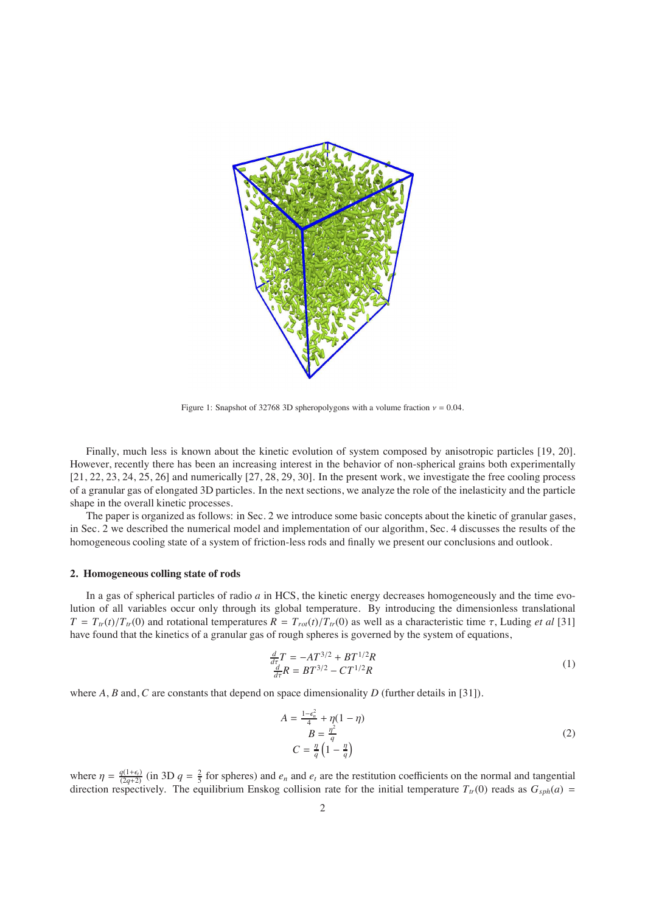

Figure 1: Snapshot of 32768 3D spheropolygons with a volume fraction  $v = 0.04$ .

Finally, much less is known about the kinetic evolution of system composed by anisotropic particles [19, 20]. However, recently there has been an increasing interest in the behavior of non-spherical grains both experimentally [21, 22, 23, 24, 25, 26] and numerically [27, 28, 29, 30]. In the present work, we investigate the free cooling process of a granular gas of elongated 3D particles. In the next sections, we analyze the role of the inelasticity and the particle shape in the overall kinetic processes.

The paper is organized as follows: in Sec. 2 we introduce some basic concepts about the kinetic of granular gases, in Sec. 2 we described the numerical model and implementation of our algorithm, Sec. 4 discusses the results of the homogeneous cooling state of a system of friction-less rods and finally we present our conclusions and outlook.

### **2. Homogeneous colling state of rods**

In a gas of spherical particles of radio *a* in HCS, the kinetic energy decreases homogeneously and the time evolution of all variables occur only through its global temperature. By introducing the dimensionless translational  $T = T_{tr}(t)/T_{tr}(0)$  and rotational temperatures  $R = T_{rot}(t)/T_{tr}(0)$  as well as a characteristic time  $\tau$ , Luding *et al* [31] have found that the kinetics of a granular gas of rough spheres is governed by the system of equations,

$$
\frac{\frac{d}{dr}T}{\frac{d}{dr}R} = -AT^{3/2} + BT^{1/2}R
$$
\n<sup>(1)</sup>

where *A*, *B* and, *C* are constants that depend on space dimensionality *D* (further details in [31]).

$$
A = \frac{1 - \epsilon_n^2}{4} + \eta(1 - \eta)
$$
  
\n
$$
B = \frac{\eta^2}{q}
$$
  
\n
$$
C = \frac{\eta}{q} \left(1 - \frac{\eta}{q}\right)
$$
\n(2)

where  $\eta = \frac{q(1+\epsilon)}{(2q+2)}$  (in 3D  $q = \frac{2}{5}$  for spheres) and  $e_n$  and  $e_t$  are the restitution coefficients on the normal and tangential direction respectively. The equilibrium Enskog collision rate for the initial temperature  $T_{tr}(0)$  reads as  $G_{sph}(a)$  =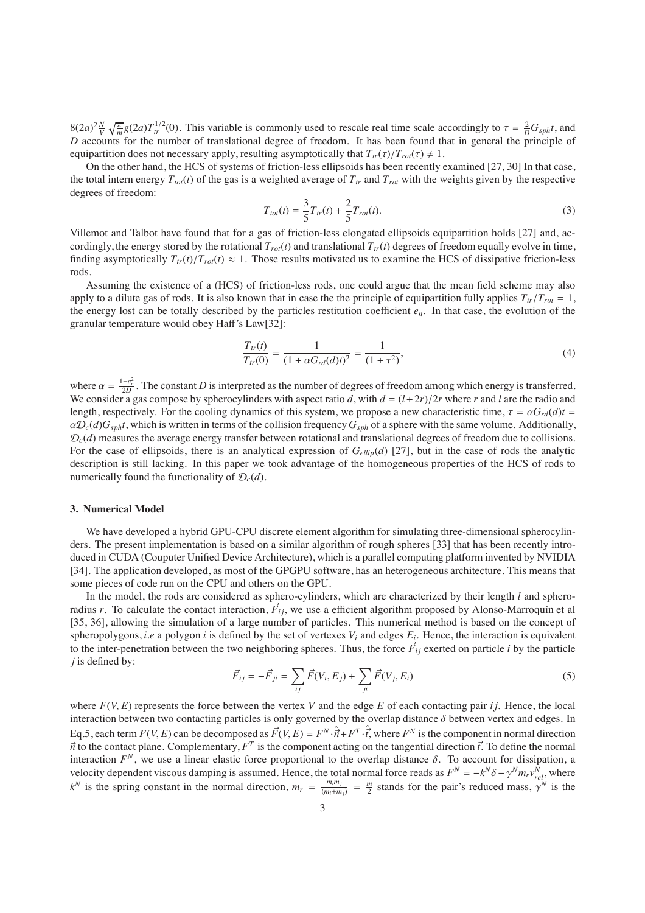$8(2a)^2 \frac{N}{V} \sqrt{\frac{\pi}{m}} g(2a) T_{tr}^{1/2}(0)$ . This variable is commonly used to rescale real time scale accordingly to  $\tau = \frac{2}{D} G_{sph} t$ , and *D* accounts for the number of translational degree of freedom. It has been found that in general the principle of equipartition does not necessary apply, resulting asymptotically that  $T_{tr}(\tau)/T_{rot}(\tau) \neq 1$ .

On the other hand, the HCS of systems of friction-less ellipsoids has been recently examined [27, 30] In that case, the total intern energy  $T_{tot}(t)$  of the gas is a weighted average of  $T_{tr}$  and  $T_{rot}$  with the weights given by the respective degrees of freedom:

$$
T_{tot}(t) = \frac{3}{5}T_{tr}(t) + \frac{2}{5}T_{rot}(t).
$$
\n(3)

Villemot and Talbot have found that for a gas of friction-less elongated ellipsoids equipartition holds [27] and, accordingly, the energy stored by the rotational  $T_{rot}(t)$  and translational  $T_{tr}(t)$  degrees of freedom equally evolve in time, finding asymptotically  $T_{tr}(t)/T_{rot}(t) \approx 1$ . Those results motivated us to examine the HCS of dissipative friction-less rods.

Assuming the existence of a (HCS) of friction-less rods, one could argue that the mean field scheme may also apply to a dilute gas of rods. It is also known that in case the the principle of equipartition fully applies  $T_{tr}/T_{rot} = 1$ , the energy lost can be totally described by the particles restitution coefficient *en*. In that case, the evolution of the granular temperature would obey Haff's Law[32]:

$$
\frac{T_{tr}(t)}{T_{tr}(0)} = \frac{1}{(1 + \alpha G_{rd}(d)t)^2} = \frac{1}{(1 + \tau^2)},
$$
\n(4)

where  $\alpha = \frac{1-e_n^2}{2D}$ . The constant *D* is interpreted as the number of degrees of freedom among which energy is transferred. We consider a gas compose by spherocylinders with aspect ratio *d*, with  $d = (l+2r)/2r$  where *r* and *l* are the radio and length, respectively. For the cooling dynamics of this system, we propose a new characteristic time,  $\tau = \alpha G_{rd}(d) t =$  $\alpha\mathcal{D}_c(d)G_{sph}t$ , which is written in terms of the collision frequency  $G_{sph}$  of a sphere with the same volume. Additionally,  $\mathcal{D}_c(d)$  measures the average energy transfer between rotational and translational degrees of freedom due to collisions. For the case of ellipsoids, there is an analytical expression of  $G_{ellip}(d)$  [27], but in the case of rods the analytic description is still lacking. In this paper we took advantage of the homogeneous properties of the HCS of rods to numerically found the functionality of  $\mathcal{D}_c(d)$ .

#### **3. Numerical Model**

We have developed a hybrid GPU-CPU discrete element algorithm for simulating three-dimensional spherocylinders. The present implementation is based on a similar algorithm of rough spheres [33] that has been recently introduced in CUDA (Couputer Unified Device Architecture), which is a parallel computing platform invented by NVIDIA [34]. The application developed, as most of the GPGPU software, has an heterogeneous architecture. This means that some pieces of code run on the CPU and others on the GPU.

In the model, the rods are considered as sphero-cylinders, which are characterized by their length *l* and spheroradius *r*. To calculate the contact interaction,  $\vec{F}_{ij}$ , we use a efficient algorithm proposed by Alonso-Marroquín et al [35, 36], allowing the simulation of a large number of particles. This numerical method is based on the concept of spheropolygons, *i.e* a polygon *i* is defined by the set of vertexes  $V_i$  and edges  $E_i$ . Hence, the interaction is equivalent to the inter-penetration between the two neighboring spheres. Thus, the force  $\vec{F}_{ij}$  exerted on particle *i* by the particle *j* is defined by:

$$
\vec{F}_{ij} = -\vec{F}_{ji} = \sum_{ij} \vec{F}(V_i, E_j) + \sum_{ji} \vec{F}(V_j, E_i)
$$
\n(5)

where  $F(V, E)$  represents the force between the vertex V and the edge E of each contacting pair *i* j. Hence, the local interaction between two contacting particles is only governed by the overlap distance  $\delta$  between vertex and edges. In Eq.5, each term  $F(V, E)$  can be decomposed as  $\vec{F}(V, E) = F^N \cdot \hat{i} + F^T \cdot \hat{i}$ , where  $F^N$  is the component in normal direction  $\vec{n}$  to the contact plane. Complementary,  $F^T$  is the component acting on the tangential direction  $\vec{t}$ . To define the normal interaction  $F^N$ , we use a linear elastic force proportional to the overlap distance  $\delta$ . To account for dissipation, a velocity dependent viscous damping is assumed. Hence, the total normal force reads as  $F^N = -k^N \delta - \gamma^N m_r v_{rel}^N$ , where  $k^N$  is the spring constant in the normal direction,  $m_r = \frac{m_i m_j}{(m_i + m_j)} = \frac{m}{2}$  stands for the pair's reduced mass,  $\gamma^N$  is the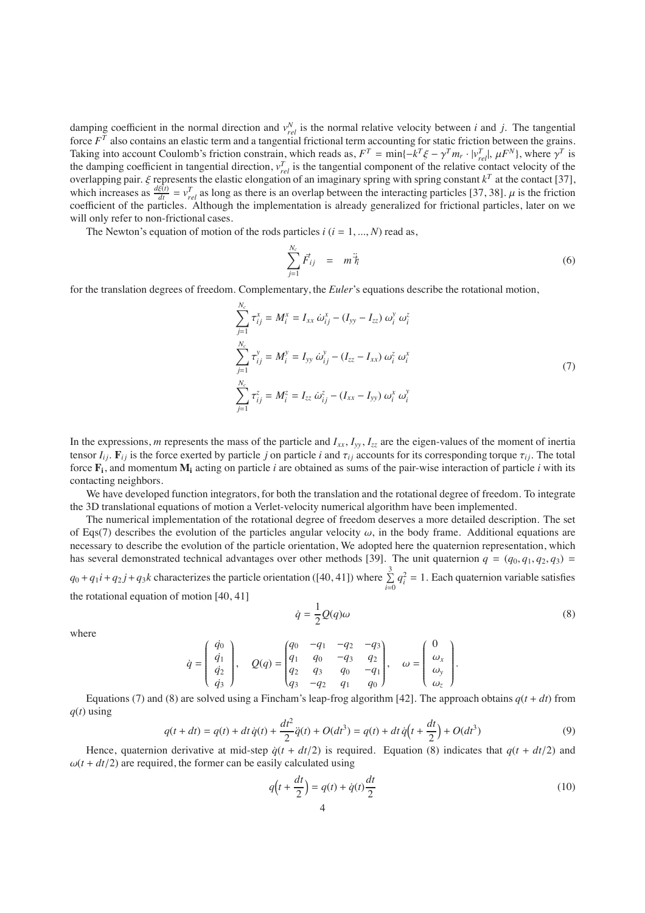damping coefficient in the normal direction and  $v_{rel}^N$  is the normal relative velocity between *i* and *j*. The tangential force *F<sup>T</sup>* also contains an elastic term and a tangential frictional term accounting for static friction between the grains. Taking into account Coulomb's friction constrain, which reads as,  $F^T = \min\{-k^T\xi - \gamma^T m_r \cdot |v_{rel}^T|, \mu F^N\}$ , where  $\gamma^T$  is the damping coefficient in tangential direction,  $v_{rel}^T$  is the tangential component of the relative contact velocity of the overlapping pair.  $\xi$  represents the elastic elongation of an imaginary spring with spring constant  $k^T$  at the contact [37], which increases as  $\frac{d\xi(t)}{dt} = v_{rel}^T$  as long as there is an overlap between the interacting particles [37, 38].  $\mu$  is the friction coefficient of the particles. Although the implementation is already generalized for frictional particles, later on we will only refer to non-frictional cases.

The Newton's equation of motion of the rods particles  $i$  ( $i = 1, ..., N$ ) read as,

$$
\sum_{j=1}^{N_c} \vec{F}_{ij} = m \ddot{\vec{\eta}}_i \tag{6}
$$

for the translation degrees of freedom. Complementary, the *Euler*'s equations describe the rotational motion,

$$
\sum_{j=1}^{N_c} \tau_{ij}^x = M_i^x = I_{xx} \omega_{ij}^x - (I_{yy} - I_{zz}) \omega_i^y \omega_i^z
$$
  

$$
\sum_{j=1}^{N_c} \tau_{ij}^y = M_i^y = I_{yy} \omega_{ij}^y - (I_{zz} - I_{xx}) \omega_i^z \omega_i^x
$$
  

$$
\sum_{j=1}^{N_c} \tau_{ij}^z = M_i^z = I_{zz} \omega_{ij}^z - (I_{xx} - I_{yy}) \omega_i^x \omega_i^y
$$
 (7)

In the expressions, *m* represents the mass of the particle and  $I_{xx}$ ,  $I_{yy}$ ,  $I_{zz}$  are the eigen-values of the moment of inertia tensor  $I_i$ .  $\mathbf{F}_{ij}$  is the force exerted by particle *j* on particle *i* and  $\tau_{ij}$  accounts for its corresponding torque  $\tau_{ij}$ . The total force  $\mathbf{F}_i$ , and momentum  $\mathbf{M}_i$  acting on particle *i* are obtained as sums of the pair-wise interaction of particle *i* with its contacting neighbors.

We have developed function integrators, for both the translation and the rotational degree of freedom. To integrate the 3D translational equations of motion a Verlet-velocity numerical algorithm have been implemented.

The numerical implementation of the rotational degree of freedom deserves a more detailed description. The set of Eqs(7) describes the evolution of the particles angular velocity  $\omega$ , in the body frame. Additional equations are necessary to describe the evolution of the particle orientation, We adopted here the quaternion representation, which has several demonstrated technical advantages over other methods [39]. The unit quaternion  $q = (q_0, q_1, q_2, q_3)$  =  $q_0 + q_1 i + q_2 j + q_3 k$  characterizes the particle orientation ([40, 41]) where  $\sum^3$  $\sum_{i=0} q_i^2 = 1$ . Each quaternion variable satisfies the rotational equation of motion [40, 41]

$$
\dot{q} = \frac{1}{2}Q(q)\omega\tag{8}
$$

where

$$
\dot{q} = \begin{pmatrix} \dot{q}_0 \\ \dot{q}_1 \\ \dot{q}_2 \\ \dot{q}_3 \end{pmatrix}, \quad Q(q) = \begin{pmatrix} q_0 & -q_1 & -q_2 & -q_3 \\ q_1 & q_0 & -q_3 & q_2 \\ q_2 & q_3 & q_0 & -q_1 \\ q_3 & -q_2 & q_1 & q_0 \end{pmatrix}, \quad \omega = \begin{pmatrix} 0 \\ \omega_x \\ \omega_y \\ \omega_z \end{pmatrix}.
$$

Equations (7) and (8) are solved using a Fincham's leap-frog algorithm [42]. The approach obtains  $q(t + dt)$  from  $q(t)$  using

$$
q(t + dt) = q(t) + dt \dot{q}(t) + \frac{dt^2}{2} \ddot{q}(t) + O(dt^3) = q(t) + dt \dot{q}(t + \frac{dt}{2}) + O(dt^3)
$$
\n(9)

Hence, quaternion derivative at mid-step  $\dot{q}(t + dt/2)$  is required. Equation (8) indicates that  $q(t + dt/2)$  and  $\omega(t + dt/2)$  are required, the former can be easily calculated using

$$
q(t + \frac{dt}{2}) = q(t) + \dot{q}(t)\frac{dt}{2}
$$
\n(10)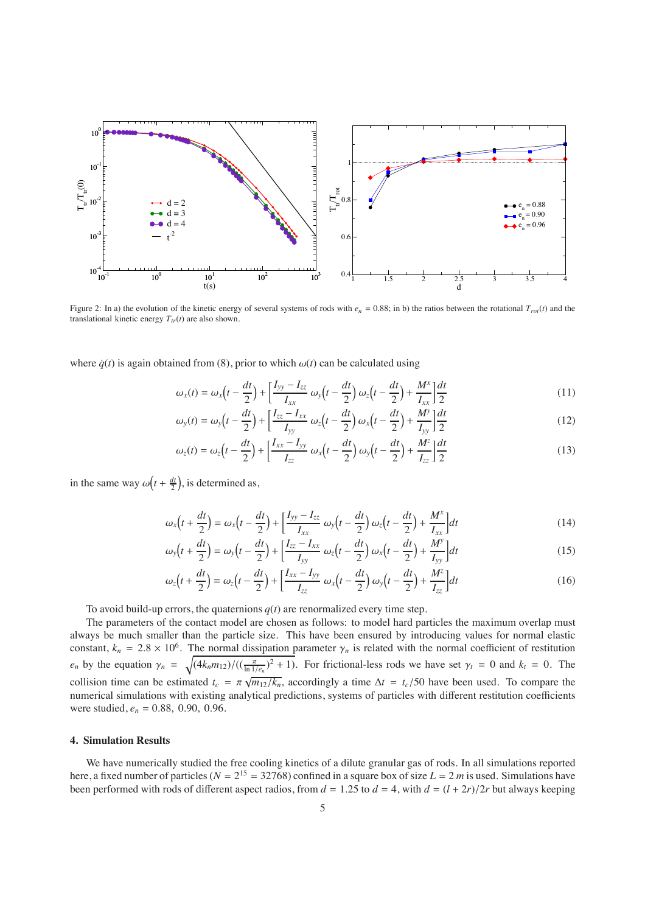

Figure 2: In a) the evolution of the kinetic energy of several systems of rods with  $e_n = 0.88$ ; in b) the ratios between the rotational  $T_{rot}(t)$  and the translational kinetic energy  $T_{tr}(t)$  are also shown.

where  $\dot{q}(t)$  is again obtained from (8), prior to which  $\omega(t)$  can be calculated using

$$
\omega_x(t) = \omega_x\left(t - \frac{dt}{2}\right) + \left[\frac{I_{yy} - I_{zz}}{I_{xx}}\omega_y\left(t - \frac{dt}{2}\right)\omega_z\left(t - \frac{dt}{2}\right) + \frac{M^x}{I_{xx}}\right]\frac{dt}{2}
$$
(11)

$$
\omega_{y}(t) = \omega_{y}\left(t - \frac{dt}{2}\right) + \left[\frac{I_{zz} - I_{xx}}{I_{yy}}\omega_{z}\left(t - \frac{dt}{2}\right)\omega_{x}\left(t - \frac{dt}{2}\right) + \frac{M^{y}}{I_{yy}}\right]\frac{dt}{2}
$$
(12)

$$
\omega_z(t) = \omega_z \left(t - \frac{dt}{2}\right) + \left[\frac{I_{xx} - I_{yy}}{I_{zz}} \omega_x \left(t - \frac{dt}{2}\right) \omega_y \left(t - \frac{dt}{2}\right) + \frac{M^z}{I_{zz}}\right] \frac{dt}{2}
$$
(13)

in the same way  $\omega(t + \frac{dt}{2})$ , is determined as,

$$
\omega_x(t + \frac{dt}{2}) = \omega_x(t - \frac{dt}{2}) + \left[\frac{I_{yy} - I_{zz}}{I_{xx}}\omega_y(t - \frac{dt}{2})\omega_z(t - \frac{dt}{2}) + \frac{M^x}{I_{xx}}\right]dt
$$
\n(14)

$$
\omega_{y}\left(t+\frac{dt}{2}\right)=\omega_{y}\left(t-\frac{dt}{2}\right)+\left[\frac{I_{zz}-I_{xx}}{I_{yy}}\omega_{z}\left(t-\frac{dt}{2}\right)\omega_{x}\left(t-\frac{dt}{2}\right)+\frac{M^{y}}{I_{yy}}\right]dt
$$
\n(15)

$$
\omega_z(t + \frac{dt}{2}) = \omega_z(t - \frac{dt}{2}) + \left[\frac{I_{xx} - I_{yy}}{I_{zz}}\omega_x(t - \frac{dt}{2})\omega_y(t - \frac{dt}{2}) + \frac{M^z}{I_{zz}}\right]dt
$$
\n(16)

To avoid build-up errors, the quaternions  $q(t)$  are renormalized every time step.

The parameters of the contact model are chosen as follows: to model hard particles the maximum overlap must always be much smaller than the particle size. This have been ensured by introducing values for normal elastic constant,  $k_n = 2.8 \times 10^6$ . The normal dissipation parameter  $\gamma_n$  is related with the normal coefficient of restitution *e<sub>n</sub>* by the equation  $\gamma_n = \sqrt{\frac{4k_n m_{12}}{(\frac{\pi}{\ln 1/e_n})^2 + 1}}$ . For frictional-less rods we have set  $\gamma_t = 0$  and  $k_t = 0$ . The collision time can be estimated  $t_c = \pi \sqrt{m_{12}/k_n}$ , accordingly a time  $\Delta t = t_c/50$  have been used. To compare the numerical simulations with existing analytical predictions, systems of particles with different restitution coefficients were studied, *en* = 0.88, 0.90, 0.96.

# **4. Simulation Results**

We have numerically studied the free cooling kinetics of a dilute granular gas of rods. In all simulations reported here, a fixed number of particles ( $N = 2^{15} = 32768$ ) confined in a square box of size  $L = 2 m$  is used. Simulations have been performed with rods of different aspect radios, from  $d = 1.25$  to  $d = 4$ , with  $d = (l + 2r)/2r$  but always keeping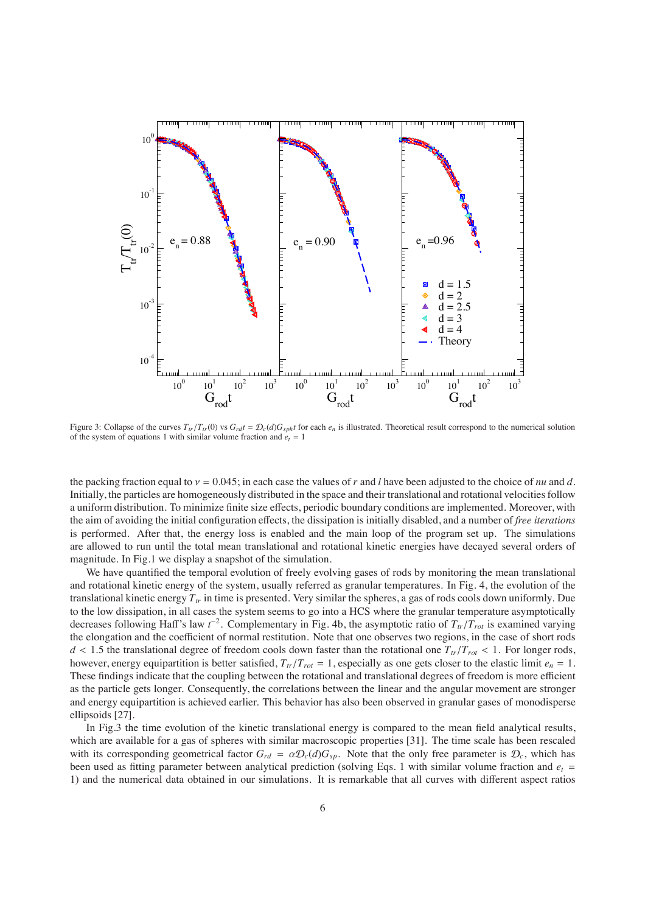

Figure 3: Collapse of the curves  $T_{tr}/T_{tr}(0)$  vs  $G_{rd}t = \mathcal{D}_c(d)G_{sph}t$  for each  $e_n$  is illustrated. Theoretical result correspond to the numerical solution of the system of equations 1 with similar volume fraction and  $e_t = 1$ 

the packing fraction equal to  $y = 0.045$ ; in each case the values of r and *l* have been adjusted to the choice of *nu* and *d*. Initially, the particles are homogeneously distributed in the space and their translational and rotational velocities follow a uniform distribution. To minimize finite size effects, periodic boundary conditions are implemented. Moreover, with the aim of avoiding the initial configuration effects, the dissipation is initially disabled, and a number of *free iterations* is performed. After that, the energy loss is enabled and the main loop of the program set up. The simulations are allowed to run until the total mean translational and rotational kinetic energies have decayed several orders of magnitude. In Fig.1 we display a snapshot of the simulation.

We have quantified the temporal evolution of freely evolving gases of rods by monitoring the mean translational and rotational kinetic energy of the system, usually referred as granular temperatures. In Fig. 4, the evolution of the translational kinetic energy  $T_{tr}$  in time is presented. Very similar the spheres, a gas of rods cools down uniformly. Due to the low dissipation, in all cases the system seems to go into a HCS where the granular temperature asymptotically decreases following Haff's law *t*<sup>−2</sup>. Complementary in Fig. 4b, the asymptotic ratio of  $T_{tr}/T_{rot}$  is examined varying the elongation and the coefficient of normal restitution. Note that one observes two regions, in the case of short rods  $d < 1.5$  the translational degree of freedom cools down faster than the rotational one  $T_{tr}/T_{rot} < 1$ . For longer rods, however, energy equipartition is better satisfied,  $T_{tr}/T_{rot} = 1$ , especially as one gets closer to the elastic limit  $e_n = 1$ . These findings indicate that the coupling between the rotational and translational degrees of freedom is more efficient as the particle gets longer. Consequently, the correlations between the linear and the angular movement are stronger and energy equipartition is achieved earlier. This behavior has also been observed in granular gases of monodisperse ellipsoids [27].

In Fig.3 the time evolution of the kinetic translational energy is compared to the mean field analytical results, which are available for a gas of spheres with similar macroscopic properties [31]. The time scale has been rescaled with its corresponding geometrical factor  $G_{rd} = \alpha \mathcal{D}_c(d) G_{sp}$ . Note that the only free parameter is  $\mathcal{D}_c$ , which has been used as fitting parameter between analytical prediction (solving Eqs. 1 with similar volume fraction and  $e_t$  = 1) and the numerical data obtained in our simulations. It is remarkable that all curves with different aspect ratios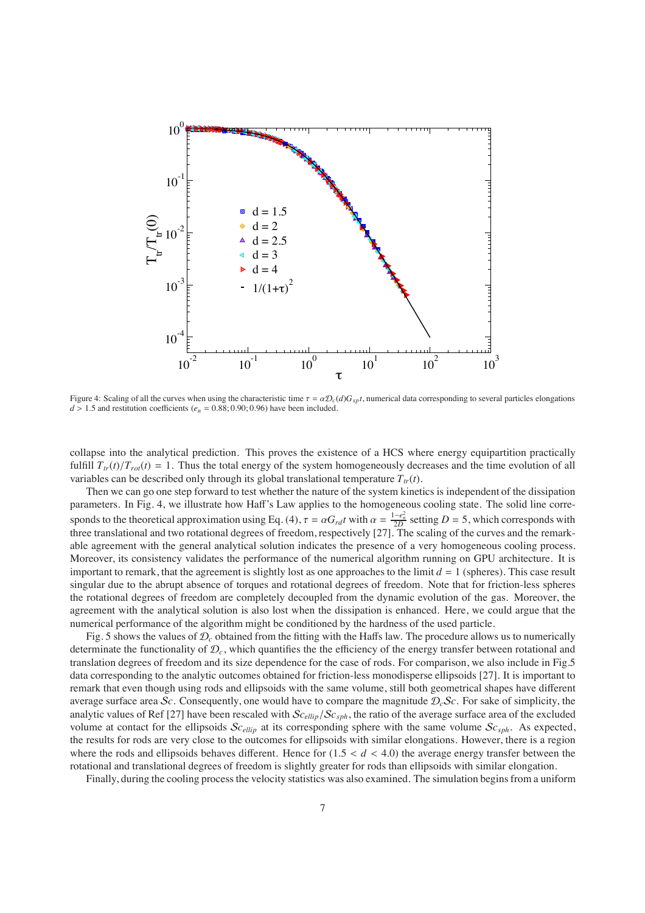

Figure 4: Scaling of all the curves when using the characteristic time  $\tau = \alpha \mathcal{D}_c(d)G_{spt}$ , numerical data corresponding to several particles elongations  $d > 1.5$  and restitution coefficients ( $e_n = 0.88; 0.90; 0.96$ ) have been included.

collapse into the analytical prediction. This proves the existence of a HCS where energy equipartition practically fulfill  $T_{tr}(t)/T_{rot}(t) = 1$ . Thus the total energy of the system homogeneously decreases and the time evolution of all variables can be described only through its global translational temperature  $T_{tr}(t)$ .

Then we can go one step forward to test whether the nature of the system kinetics is independent of the dissipation parameters. In Fig. 4, we illustrate how Haff's Law applies to the homogeneous cooling state. The solid line corresponds to the theoretical approximation using Eq. (4),  $\tau = \alpha G_{rd} t$  with  $\alpha = \frac{1-e_n^2}{2D}$  setting  $D = 5$ , which corresponds with three translational and two rotational degrees of freedom, respectively [27]. The scaling of the curves and the remarkable agreement with the general analytical solution indicates the presence of a very homogeneous cooling process. Moreover, its consistency validates the performance of the numerical algorithm running on GPU architecture. It is important to remark, that the agreement is slightly lost as one approaches to the limit  $d = 1$  (spheres). This case result singular due to the abrupt absence of torques and rotational degrees of freedom. Note that for friction-less spheres the rotational degrees of freedom are completely decoupled from the dynamic evolution of the gas. Moreover, the agreement with the analytical solution is also lost when the dissipation is enhanced. Here, we could argue that the numerical performance of the algorithm might be conditioned by the hardness of the used particle.

Fig. 5 shows the values of D*<sup>c</sup>* obtained from the fitting with the Haffs law. The procedure allows us to numerically determinate the functionality of D*c*, which quantifies the the efficiency of the energy transfer between rotational and translation degrees of freedom and its size dependence for the case of rods. For comparison, we also include in Fig.5 data corresponding to the analytic outcomes obtained for friction-less monodisperse ellipsoids [27]. It is important to remark that even though using rods and ellipsoids with the same volume, still both geometrical shapes have different average surface area  $\mathcal{S}_c$ . Consequently, one would have to compare the magnitude  $\mathcal{D}_c\mathcal{S}_c$ . For sake of simplicity, the analytic values of Ref [27] have been rescaled with S*cellip*/S*csph*, the ratio of the average surface area of the excluded volume at contact for the ellipsoids S*cellip* at its corresponding sphere with the same volume S*csph*. As expected, the results for rods are very close to the outcomes for ellipsoids with similar elongations. However, there is a region where the rods and ellipsoids behaves different. Hence for  $(1.5 < d < 4.0)$  the average energy transfer between the rotational and translational degrees of freedom is slightly greater for rods than ellipsoids with similar elongation.

Finally, during the cooling process the velocity statistics was also examined. The simulation begins from a uniform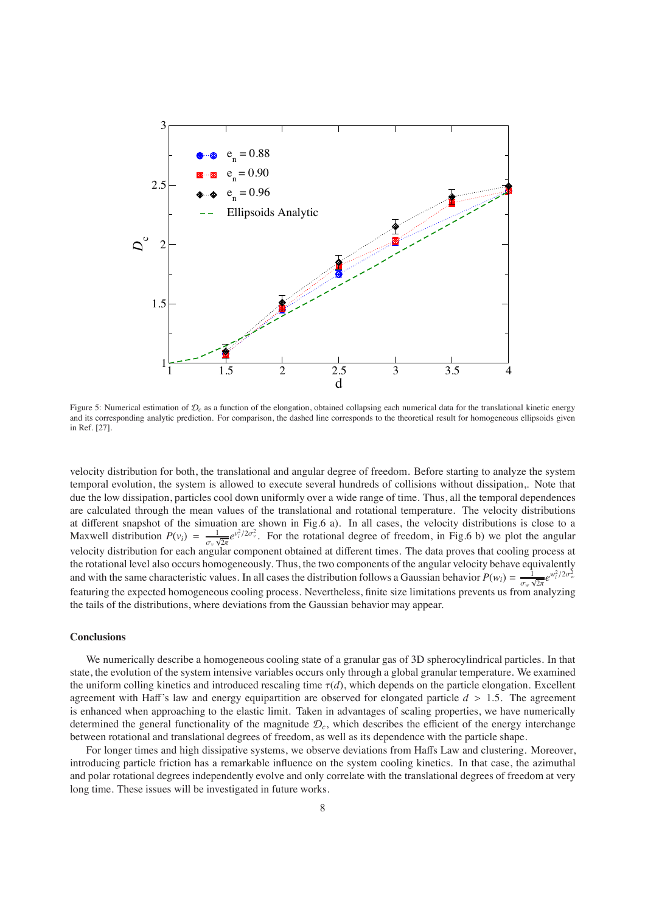

Figure 5: Numerical estimation of  $\mathcal{D}_c$  as a function of the elongation, obtained collapsing each numerical data for the translational kinetic energy and its corresponding analytic prediction. For comparison, the dashed line corresponds to the theoretical result for homogeneous ellipsoids given in Ref. [27].

velocity distribution for both, the translational and angular degree of freedom. Before starting to analyze the system temporal evolution, the system is allowed to execute several hundreds of collisions without dissipation,. Note that due the low dissipation, particles cool down uniformly over a wide range of time. Thus, all the temporal dependences are calculated through the mean values of the translational and rotational temperature. The velocity distributions at different snapshot of the simuation are shown in Fig.6 a). In all cases, the velocity distributions is close to a Maxwell distribution  $P(v_i) = \frac{1}{\sigma_v \sqrt{2\pi}} e^{v_i^2/2\sigma_v^2}$ . For the rotational degree of freedom, in Fig.6 b) we plot the angular velocity distribution for each angular component obtained at different times. The data proves that cooling process at the rotational level also occurs homogeneously. Thus, the two components of the angular velocity behave equivalently and with the same characteristic values. In all cases the distribution follows a Gaussian behavior  $P(w_i) = \frac{1}{\sigma_w \sqrt{2\pi}} e^{w_i^2/2\sigma_w^2}$ featuring the expected homogeneous cooling process. Nevertheless, finite size limitations prevents us from analyzing the tails of the distributions, where deviations from the Gaussian behavior may appear.

# **Conclusions**

We numerically describe a homogeneous cooling state of a granular gas of 3D spherocylindrical particles. In that state, the evolution of the system intensive variables occurs only through a global granular temperature. We examined the uniform colling kinetics and introduced rescaling time  $\tau(d)$ , which depends on the particle elongation. Excellent agreement with Haff's law and energy equipartition are observed for elongated particle *d* > 1.5. The agreement is enhanced when approaching to the elastic limit. Taken in advantages of scaling properties, we have numerically determined the general functionality of the magnitude  $\mathcal{D}_c$ , which describes the efficient of the energy interchange between rotational and translational degrees of freedom, as well as its dependence with the particle shape.

For longer times and high dissipative systems, we observe deviations from Haffs Law and clustering. Moreover, introducing particle friction has a remarkable influence on the system cooling kinetics. In that case, the azimuthal and polar rotational degrees independently evolve and only correlate with the translational degrees of freedom at very long time. These issues will be investigated in future works.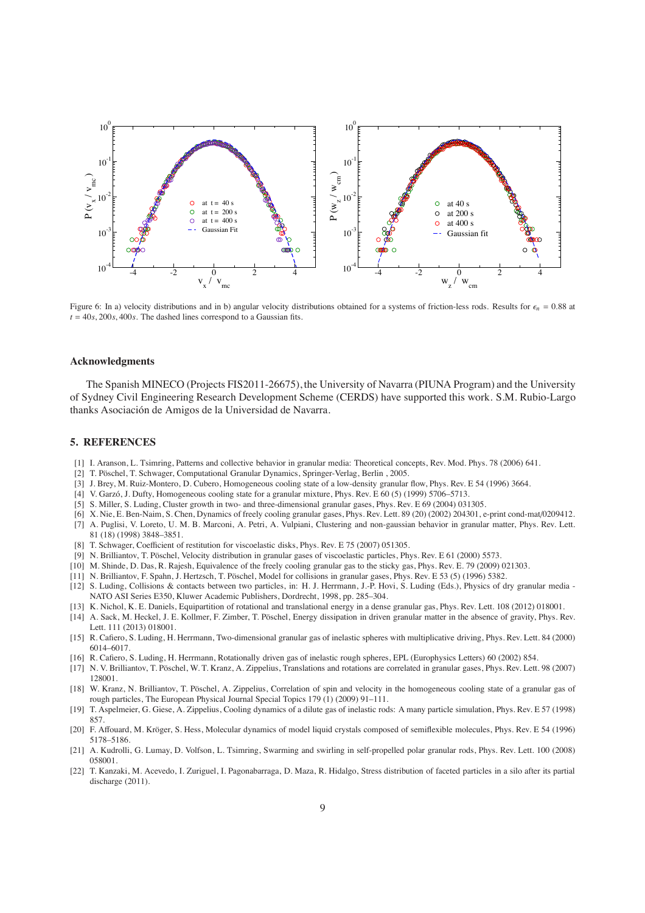

Figure 6: In a) velocity distributions and in b) angular velocity distributions obtained for a systems of friction-less rods. Results for  $\epsilon_n = 0.88$  at  $t = 40s$ , 200*s*, 400*s*. The dashed lines correspond to a Gaussian fits.

## **Acknowledgments**

The Spanish MINECO (Projects FIS2011-26675), the University of Navarra (PIUNA Program) and the University of Sydney Civil Engineering Research Development Scheme (CERDS) have supported this work. S.M. Rubio-Largo thanks Asociación de Amigos de la Universidad de Navarra.

## **5. REFERENCES**

- [1] I. Aranson, L. Tsimring, Patterns and collective behavior in granular media: Theoretical concepts, Rev. Mod. Phys. 78 (2006) 641.
- [2] T. Pöschel, T. Schwager, Computational Granular Dynamics, Springer-Verlag, Berlin, 2005.
- [3] J. Brey, M. Ruiz-Montero, D. Cubero, Homogeneous cooling state of a low-density granular flow, Phys. Rev. E 54 (1996) 3664.
- [4] V. Garzó, J. Dufty, Homogeneous cooling state for a granular mixture, Phys. Rev. E 60 (5) (1999) 5706–5713.
- [5] S. Miller, S. Luding, Cluster growth in two- and three-dimensional granular gases, Phys. Rev. E 69 (2004) 031305.
- [6] X. Nie, E. Ben-Naim, S. Chen, Dynamics of freely cooling granular gases, Phys. Rev. Lett. 89 (20) (2002) 204301, e-print cond-mat/0209412.
- [7] A. Puglisi, V. Loreto, U. M. B. Marconi, A. Petri, A. Vulpiani, Clustering and non-gaussian behavior in granular matter, Phys. Rev. Lett. 81 (18) (1998) 3848–3851.
- [8] T. Schwager, Coefficient of restitution for viscoelastic disks, Phys. Rev. E 75 (2007) 051305.
- [9] N. Brilliantov, T. Pöschel, Velocity distribution in granular gases of viscoelastic particles, Phys. Rev. E 61 (2000) 5573.
- [10] M. Shinde, D. Das, R. Rajesh, Equivalence of the freely cooling granular gas to the sticky gas, Phys. Rev. E. 79 (2009) 021303.
- [11] N. Brilliantov, F. Spahn, J. Hertzsch, T. Pöschel, Model for collisions in granular gases, Phys. Rev. E 53 (5) (1996) 5382.
- [12] S. Luding, Collisions & contacts between two particles, in: H. J. Herrmann, J.-P. Hovi, S. Luding (Eds.), Physics of dry granular media NATO ASI Series E350, Kluwer Academic Publishers, Dordrecht, 1998, pp. 285–304.
- [13] K. Nichol, K. E. Daniels, Equipartition of rotational and translational energy in a dense granular gas, Phys. Rev. Lett. 108 (2012) 018001. [14] A. Sack, M. Heckel, J. E. Kollmer, F. Zimber, T. Pöschel, Energy dissipation in driven granular matter in the absence of gravity, Phys. Rev.
- Lett. 111 (2013) 018001. [15] R. Cafiero, S. Luding, H. Herrmann, Two-dimensional granular gas of inelastic spheres with multiplicative driving, Phys. Rev. Lett. 84 (2000) 6014–6017.
- [16] R. Cafiero, S. Luding, H. Herrmann, Rotationally driven gas of inelastic rough spheres, EPL (Europhysics Letters) 60 (2002) 854.
- [17] N. V. Brilliantov, T. Pöschel, W. T. Kranz, A. Zippelius, Translations and rotations are correlated in granular gases, Phys. Rev. Lett. 98 (2007) 128001.
- [18] W. Kranz, N. Brilliantov, T. Pöschel, A. Zippelius, Correlation of spin and velocity in the homogeneous cooling state of a granular gas of rough particles, The European Physical Journal Special Topics 179 (1) (2009) 91–111.
- [19] T. Aspelmeier, G. Giese, A. Zippelius, Cooling dynamics of a dilute gas of inelastic rods: A many particle simulation, Phys. Rev. E 57 (1998) 857.
- [20] F. Affouard, M. Kröger, S. Hess, Molecular dynamics of model liquid crystals composed of semiflexible molecules, Phys. Rev. E 54 (1996) 5178–5186.
- [21] A. Kudrolli, G. Lumay, D. Volfson, L. Tsimring, Swarming and swirling in self-propelled polar granular rods, Phys. Rev. Lett. 100 (2008) 058001.
- [22] T. Kanzaki, M. Acevedo, I. Zuriguel, I. Pagonabarraga, D. Maza, R. Hidalgo, Stress distribution of faceted particles in a silo after its partial discharge (2011).